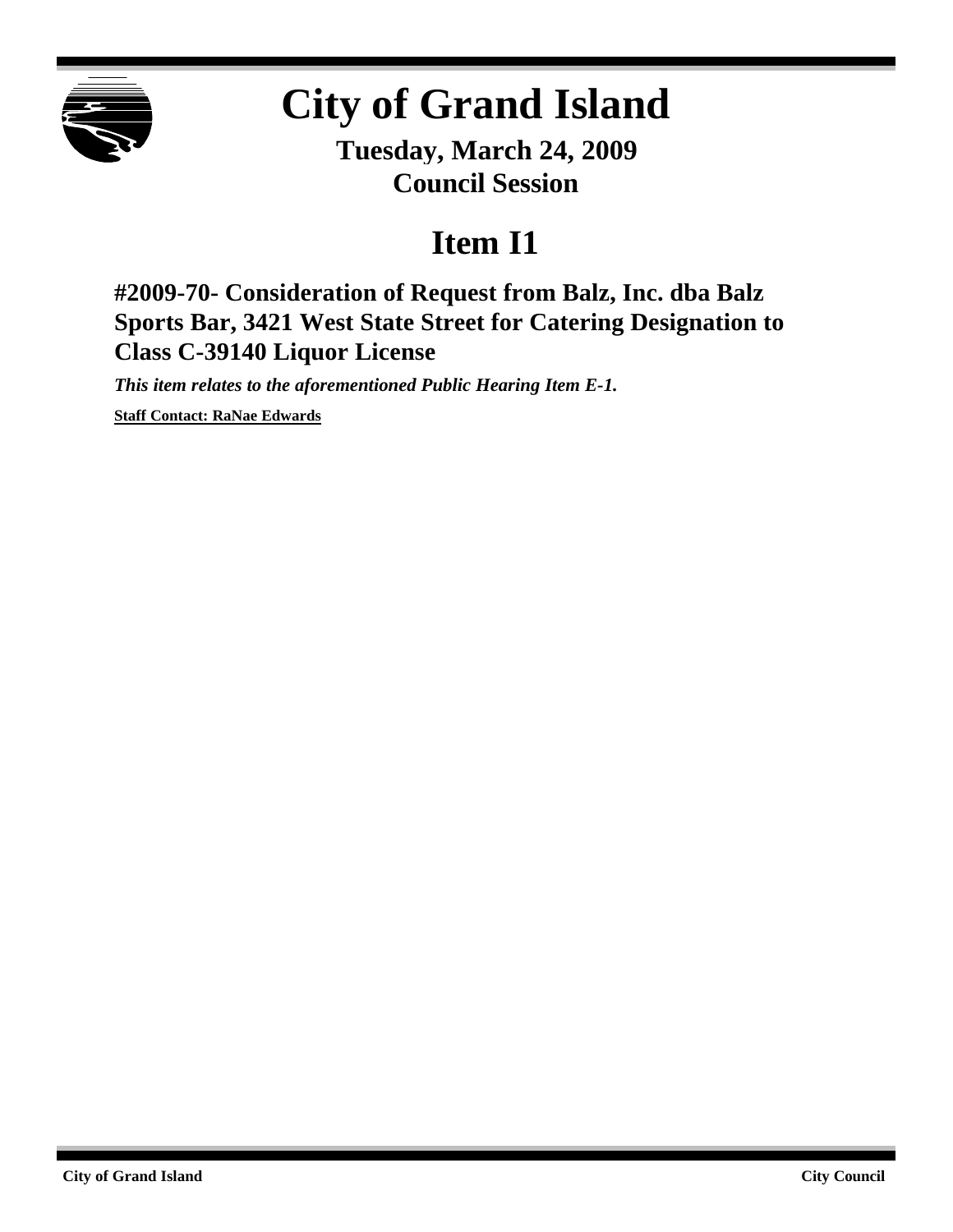

## **City of Grand Island**

**Tuesday, March 24, 2009 Council Session**

## **Item I1**

**#2009-70- Consideration of Request from Balz, Inc. dba Balz Sports Bar, 3421 West State Street for Catering Designation to Class C-39140 Liquor License**

*This item relates to the aforementioned Public Hearing Item E-1.*

**Staff Contact: RaNae Edwards**